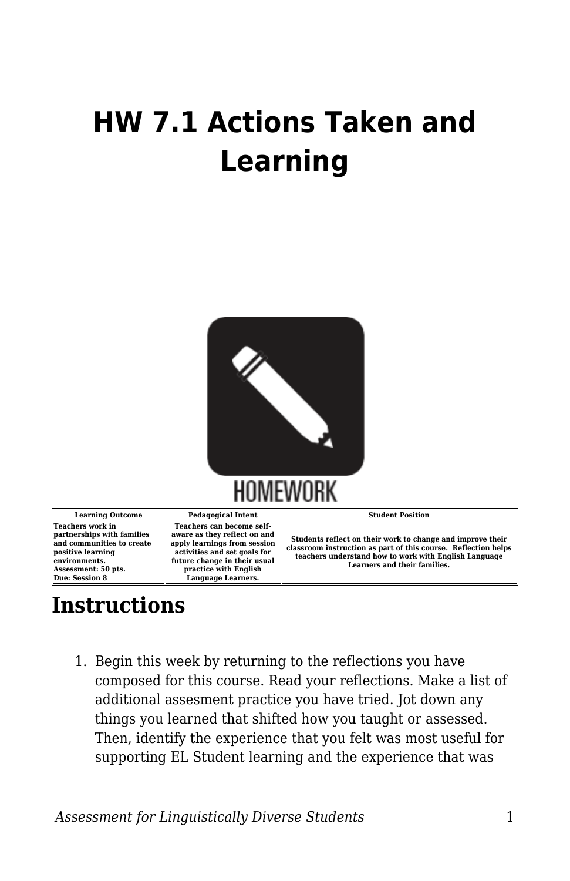## **HW 7.1 Actions Taken and Learning**



**Teachers work in partnerships with families and communities to create positive learning environments. Assessment: 50 pts. Due: Session 8**

**Teachers can become selfaware as they reflect on and apply learnings from session activities and set goals for future change in their usual practice with English Language Learners.**

**Learning Outcome Pedagogical Intent Student Position**

**Students reflect on their work to change and improve their classroom instruction as part of this course. Reflection helps teachers understand how to work with English Language Learners and their families.**

## **Instructions**

1. Begin this week by returning to the reflections you have composed for this course. Read your reflections. Make a list of additional assesment practice you have tried. Jot down any things you learned that shifted how you taught or assessed. Then, identify the experience that you felt was most useful for supporting EL Student learning and the experience that was